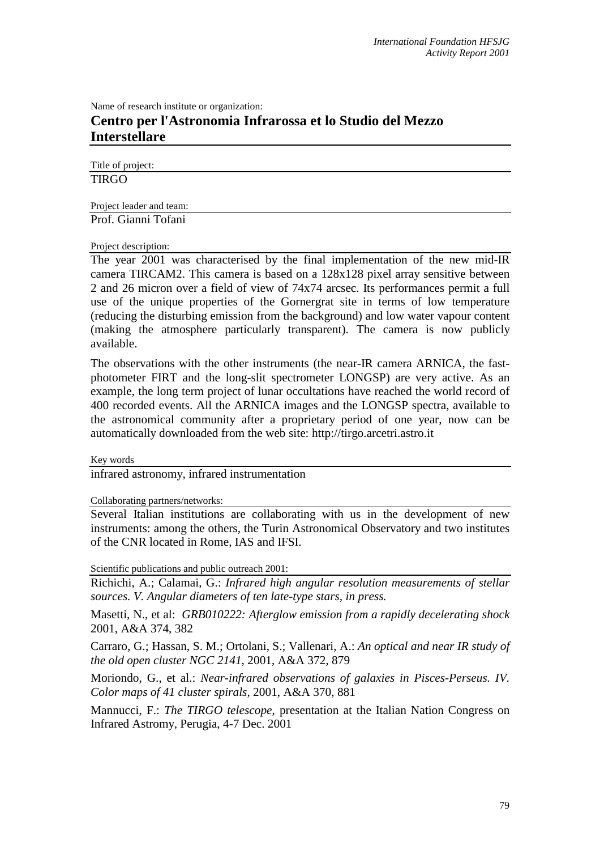Name of research institute or organization:

## **Centro per l'Astronomia Infrarossa et lo Studio del Mezzo Interstellare**

Title of project: **TIRGO** 

Project leader and team: Prof. Gianni Tofani

Project description:

The year 2001 was characterised by the final implementation of the new mid-IR camera TIRCAM2. This camera is based on a 128x128 pixel array sensitive between 2 and 26 micron over a field of view of 74x74 arcsec. Its performances permit a full use of the unique properties of the Gornergrat site in terms of low temperature (reducing the disturbing emission from the background) and low water vapour content (making the atmosphere particularly transparent). The camera is now publicly available.

The observations with the other instruments (the near-IR camera ARNICA, the fastphotometer FIRT and the long-slit spectrometer LONGSP) are very active. As an example, the long term project of lunar occultations have reached the world record of 400 recorded events. All the ARNICA images and the LONGSP spectra, available to the astronomical community after a proprietary period of one year, now can be automatically downloaded from the web site: http://tirgo.arcetri.astro.it

Key words

infrared astronomy, infrared instrumentation

Collaborating partners/networks:

Several Italian institutions are collaborating with us in the development of new instruments: among the others, the Turin Astronomical Observatory and two institutes of the CNR located in Rome, IAS and IFSI.

Scientific publications and public outreach 2001:

Richichi, A.; Calamai, G.: *Infrared high angular resolution measurements of stellar sources. V. Angular diameters of ten late-type stars, in press.* 

Masetti, N., et al: *GRB010222: Afterglow emission from a rapidly decelerating shock* 2001, A&A 374, 382

Carraro, G.; Hassan, S. M.; Ortolani, S.; Vallenari, A.: *An optical and near IR study of the old open cluster NGC 2141*, 2001, A&A 372, 879

Moriondo, G., et al.: *Near-infrared observations of galaxies in Pisces-Perseus. IV. Color maps of 41 cluster spirals*, 2001, A&A 370, 881

Mannucci, F.: *The TIRGO telescope*, presentation at the Italian Nation Congress on Infrared Astromy, Perugia, 4-7 Dec. 2001